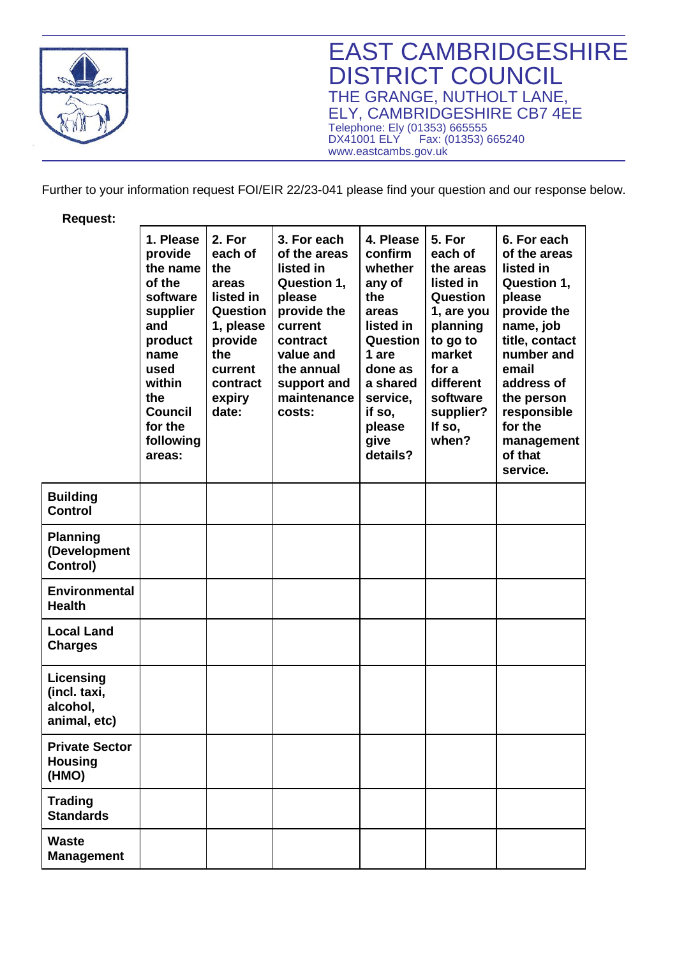

EAST CAMBRIDGESHIRE DISTRICT COUNCIL THE GRANGE, NUTHOLT LANE, ELY, CAMBRIDGESHIRE CB7 4EE Telephone: Ely (01353) 665555 DX41001 ELY Fax: (01353) 665240 www.eastcambs.gov.uk

Further to your information request FOI/EIR 22/23-041 please find your question and our response below.

**Request:** 

|                                                       | 1. Please<br>provide<br>the name<br>of the<br>software<br>supplier<br>and<br>product<br>name<br>used<br>within<br>the<br><b>Council</b><br>for the<br>following<br>areas: | 2. For<br>each of<br>the<br>areas<br>listed in<br>Question<br>1, please<br>provide<br>the<br>current<br>contract<br>expiry<br>date: | 3. For each<br>of the areas<br>listed in<br>Question 1,<br>please<br>provide the<br>current<br>contract<br>value and<br>the annual<br>support and<br>maintenance<br>costs: | 4. Please<br>confirm<br>whether<br>any of<br>the<br>areas<br>listed in<br>Question<br>1 are<br>done as<br>a shared<br>service,<br>if so,<br>please<br>give<br>details? | 5. For<br>each of<br>the areas<br>listed in<br>Question<br>1, are you<br>planning<br>to go to<br>market<br>for a<br>different<br>software<br>supplier?<br>If so,<br>when? | 6. For each<br>of the areas<br>listed in<br>Question 1,<br>please<br>provide the<br>name, job<br>title, contact<br>number and<br>email<br>address of<br>the person<br>responsible<br>for the<br>management<br>of that<br>service. |
|-------------------------------------------------------|---------------------------------------------------------------------------------------------------------------------------------------------------------------------------|-------------------------------------------------------------------------------------------------------------------------------------|----------------------------------------------------------------------------------------------------------------------------------------------------------------------------|------------------------------------------------------------------------------------------------------------------------------------------------------------------------|---------------------------------------------------------------------------------------------------------------------------------------------------------------------------|-----------------------------------------------------------------------------------------------------------------------------------------------------------------------------------------------------------------------------------|
| <b>Building</b><br><b>Control</b>                     |                                                                                                                                                                           |                                                                                                                                     |                                                                                                                                                                            |                                                                                                                                                                        |                                                                                                                                                                           |                                                                                                                                                                                                                                   |
| <b>Planning</b><br>(Development<br>Control)           |                                                                                                                                                                           |                                                                                                                                     |                                                                                                                                                                            |                                                                                                                                                                        |                                                                                                                                                                           |                                                                                                                                                                                                                                   |
| <b>Environmental</b><br><b>Health</b>                 |                                                                                                                                                                           |                                                                                                                                     |                                                                                                                                                                            |                                                                                                                                                                        |                                                                                                                                                                           |                                                                                                                                                                                                                                   |
| <b>Local Land</b><br><b>Charges</b>                   |                                                                                                                                                                           |                                                                                                                                     |                                                                                                                                                                            |                                                                                                                                                                        |                                                                                                                                                                           |                                                                                                                                                                                                                                   |
| Licensing<br>(incl. taxi,<br>alcohol,<br>animal, etc) |                                                                                                                                                                           |                                                                                                                                     |                                                                                                                                                                            |                                                                                                                                                                        |                                                                                                                                                                           |                                                                                                                                                                                                                                   |
| <b>Private Sector</b><br><b>Housing</b><br>(HMO)      |                                                                                                                                                                           |                                                                                                                                     |                                                                                                                                                                            |                                                                                                                                                                        |                                                                                                                                                                           |                                                                                                                                                                                                                                   |
| <b>Trading</b><br><b>Standards</b>                    |                                                                                                                                                                           |                                                                                                                                     |                                                                                                                                                                            |                                                                                                                                                                        |                                                                                                                                                                           |                                                                                                                                                                                                                                   |
| <b>Waste</b><br><b>Management</b>                     |                                                                                                                                                                           |                                                                                                                                     |                                                                                                                                                                            |                                                                                                                                                                        |                                                                                                                                                                           |                                                                                                                                                                                                                                   |